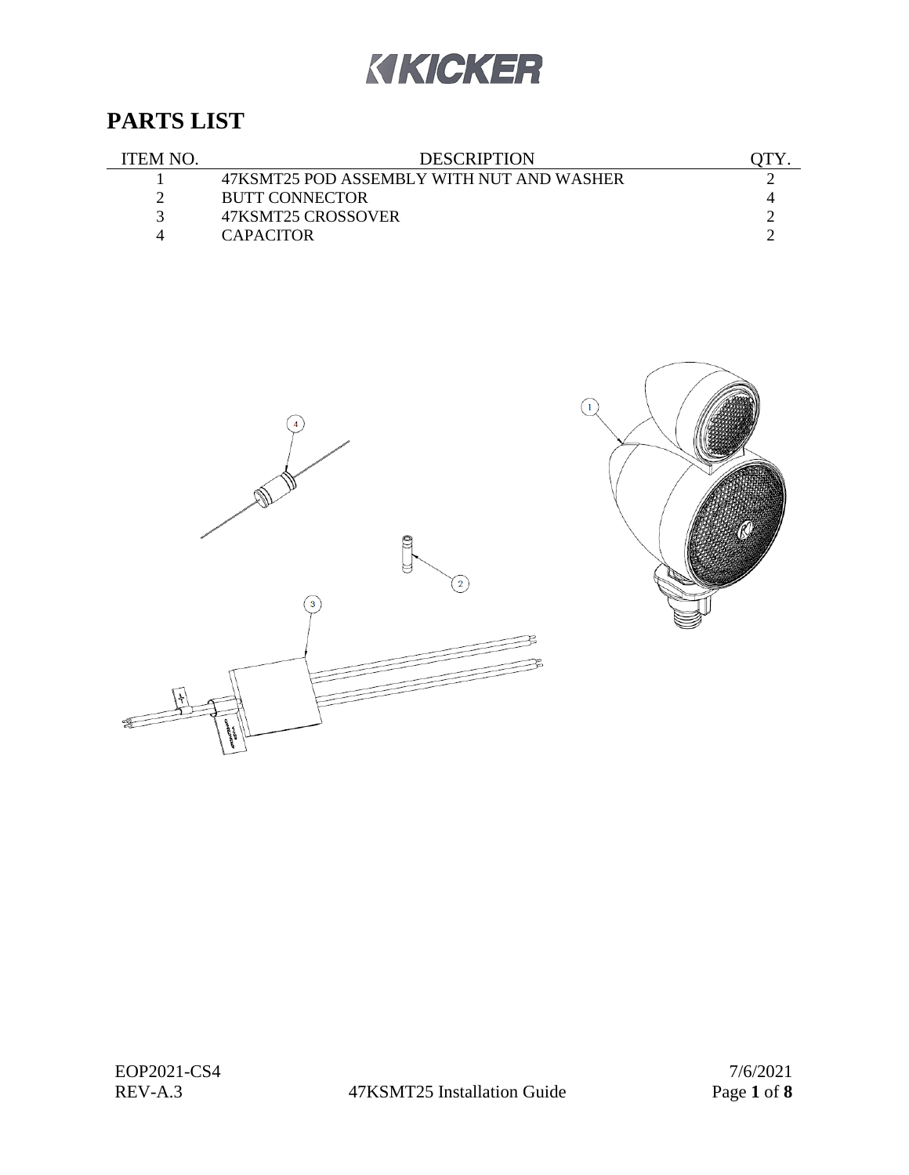# KIKICKER

# **PARTS LIST**

| ITEM NO | <b>DESCRIPTION</b>                        |  |
|---------|-------------------------------------------|--|
|         | 47KSMT25 POD ASSEMBLY WITH NUT AND WASHER |  |
|         | <b>BUTT CONNECTOR</b>                     |  |
|         | 47KSMT25 CROSSOVER                        |  |
|         | <b>CAPACITOR</b>                          |  |



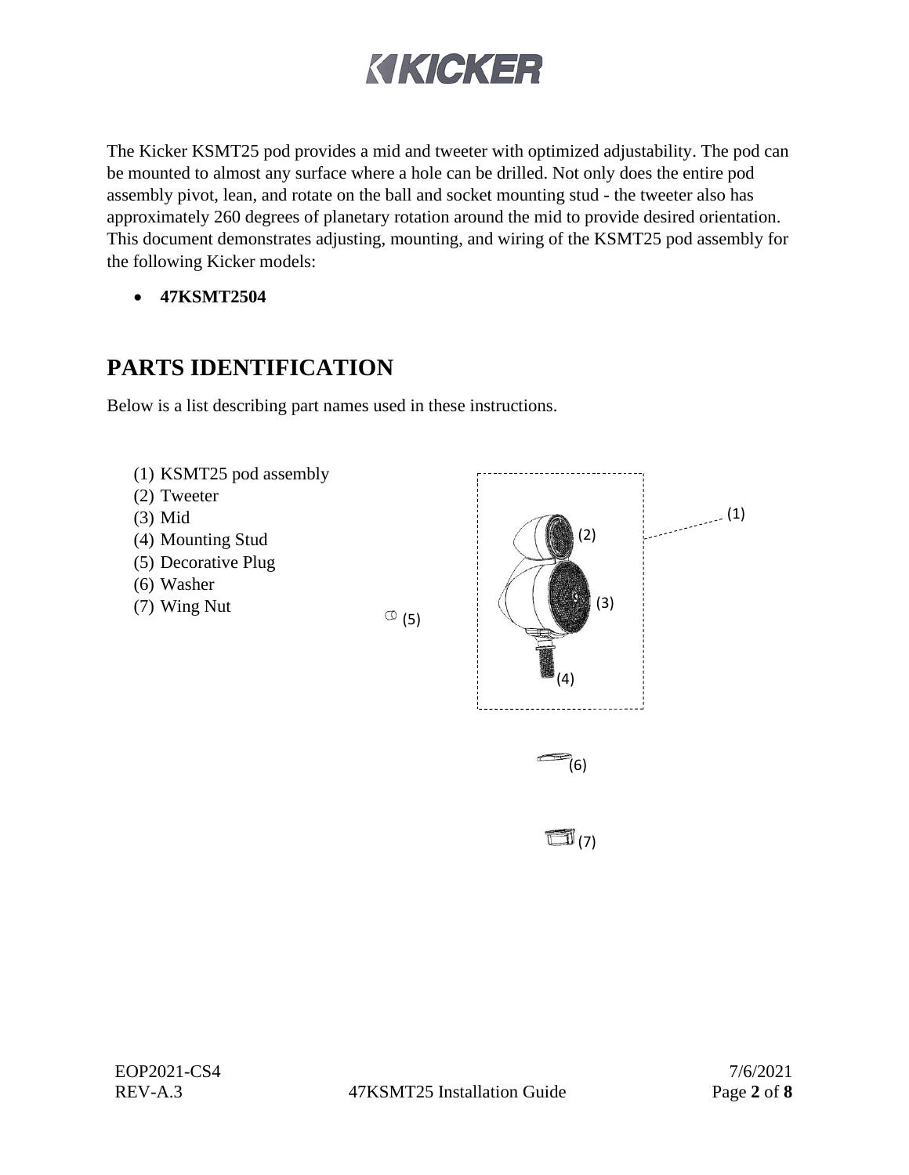# KIKICKER

The Kicker KSMT25 pod provides a mid and tweeter with optimized adjustability. The pod can be mounted to almost any surface where a hole can be drilled. Not only does the entire pod assembly pivot, lean, and rotate on the ball and socket mounting stud - the tweeter also has approximately 260 degrees of planetary rotation around the mid to provide desired orientation. This document demonstrates adjusting, mounting, and wiring of the KSMT25 pod assembly for the following Kicker models:

• **47KSMT2504**

# **PARTS IDENTIFICATION**

Below is a list describing part names used in these instructions.



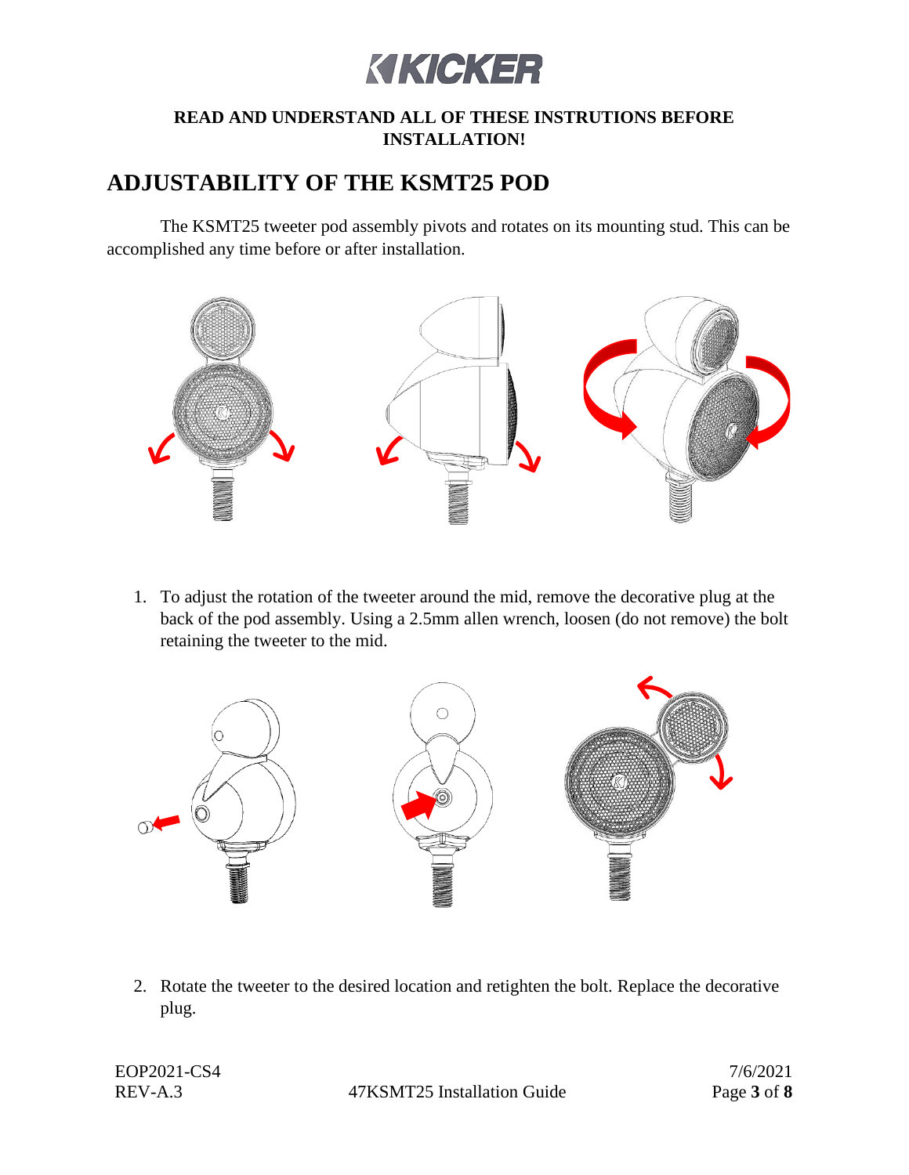# KIKICKER

#### **READ AND UNDERSTAND ALL OF THESE INSTRUTIONS BEFORE INSTALLATION!**

### **ADJUSTABILITY OF THE KSMT25 POD**

The KSMT25 tweeter pod assembly pivots and rotates on its mounting stud. This can be accomplished any time before or after installation.



1. To adjust the rotation of the tweeter around the mid, remove the decorative plug at the back of the pod assembly. Using a 2.5mm allen wrench, loosen (do not remove) the bolt retaining the tweeter to the mid.



2. Rotate the tweeter to the desired location and retighten the bolt. Replace the decorative plug.

REV-A.3 47KSMT25 Installation Guide Page **3** of **8**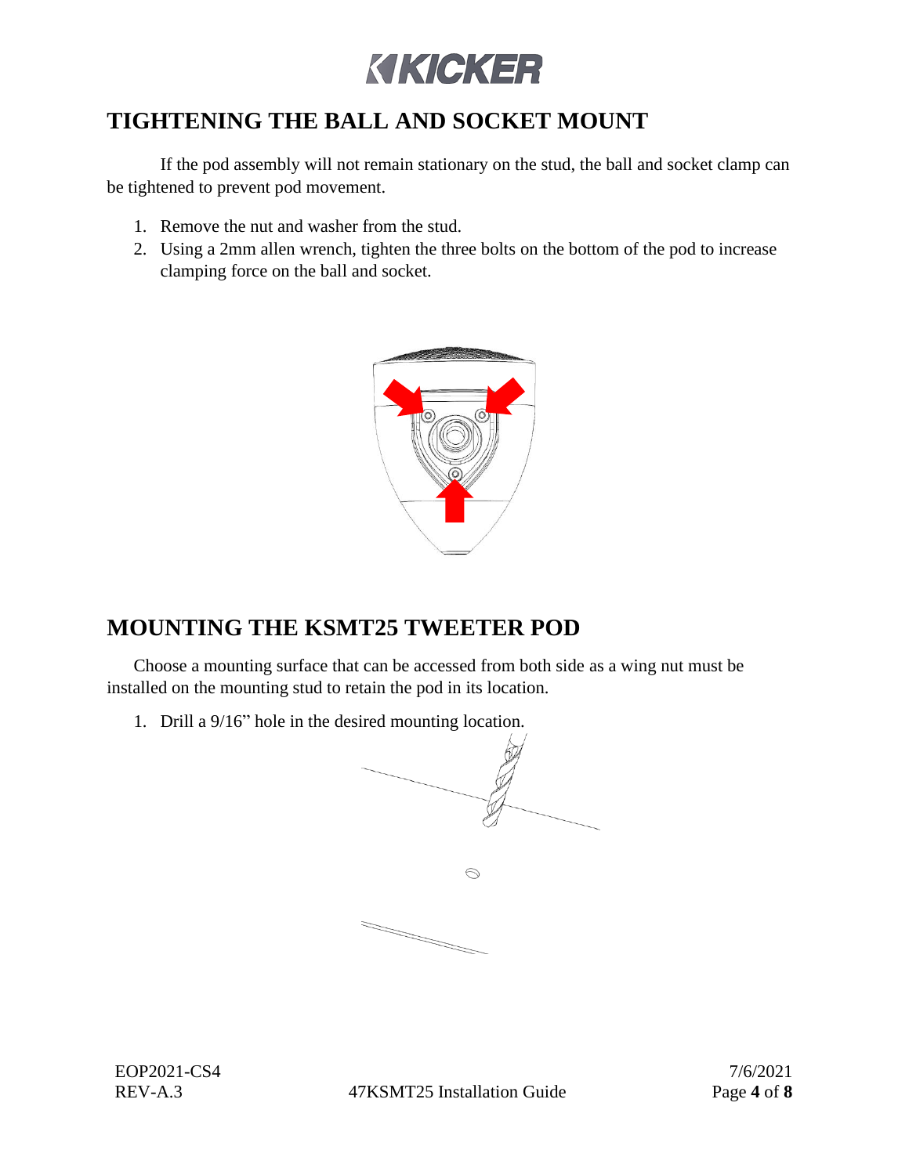

# **TIGHTENING THE BALL AND SOCKET MOUNT**

If the pod assembly will not remain stationary on the stud, the ball and socket clamp can be tightened to prevent pod movement.

- 1. Remove the nut and washer from the stud.
- 2. Using a 2mm allen wrench, tighten the three bolts on the bottom of the pod to increase clamping force on the ball and socket.



### **MOUNTING THE KSMT25 TWEETER POD**

Choose a mounting surface that can be accessed from both side as a wing nut must be installed on the mounting stud to retain the pod in its location.

1. Drill a 9/16" hole in the desired mounting location.



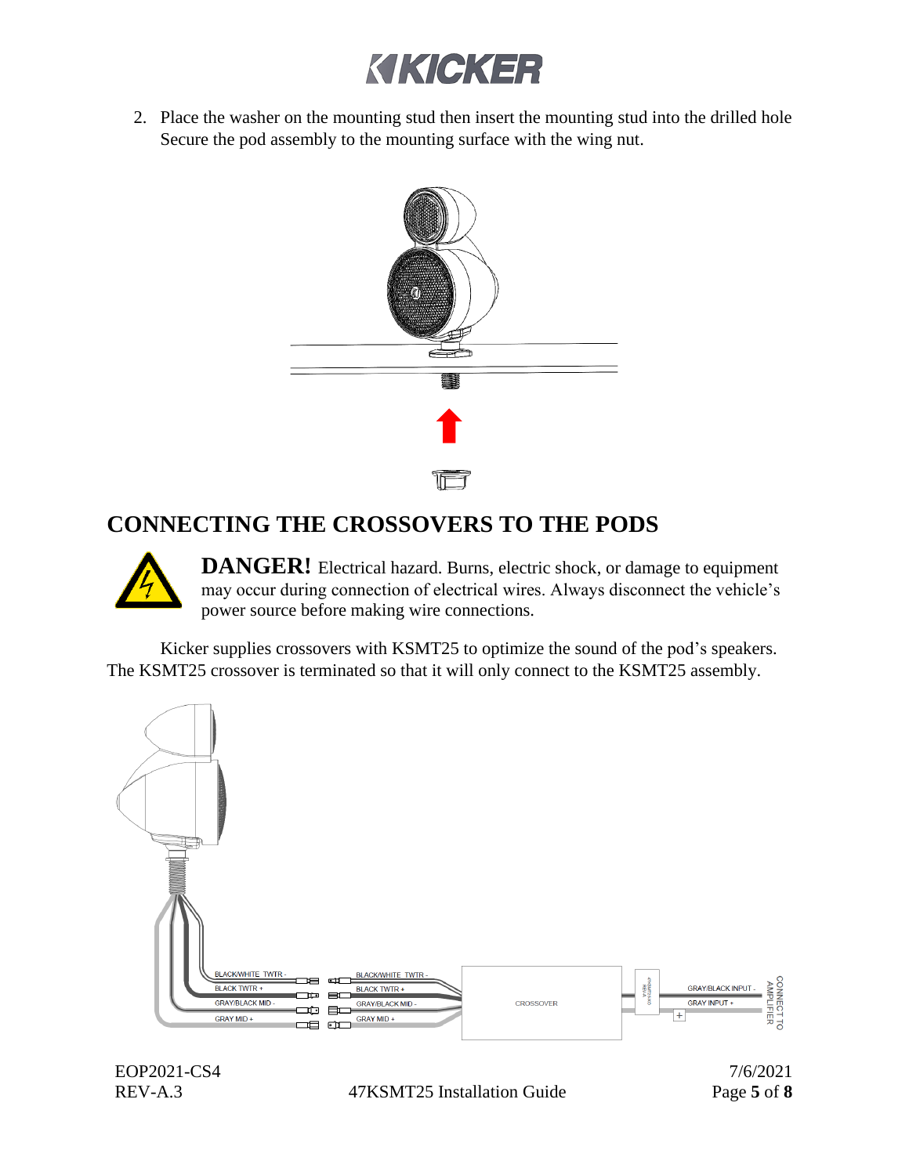

2. Place the washer on the mounting stud then insert the mounting stud into the drilled hole Secure the pod assembly to the mounting surface with the wing nut.



### **CONNECTING THE CROSSOVERS TO THE PODS**



**DANGER!** Electrical hazard. Burns, electric shock, or damage to equipment may occur during connection of electrical wires. Always disconnect the vehicle's power source before making wire connections.

Kicker supplies crossovers with KSMT25 to optimize the sound of the pod's speakers. The KSMT25 crossover is terminated so that it will only connect to the KSMT25 assembly.



REV-A.3 47KSMT25 Installation Guide Page **5** of **8**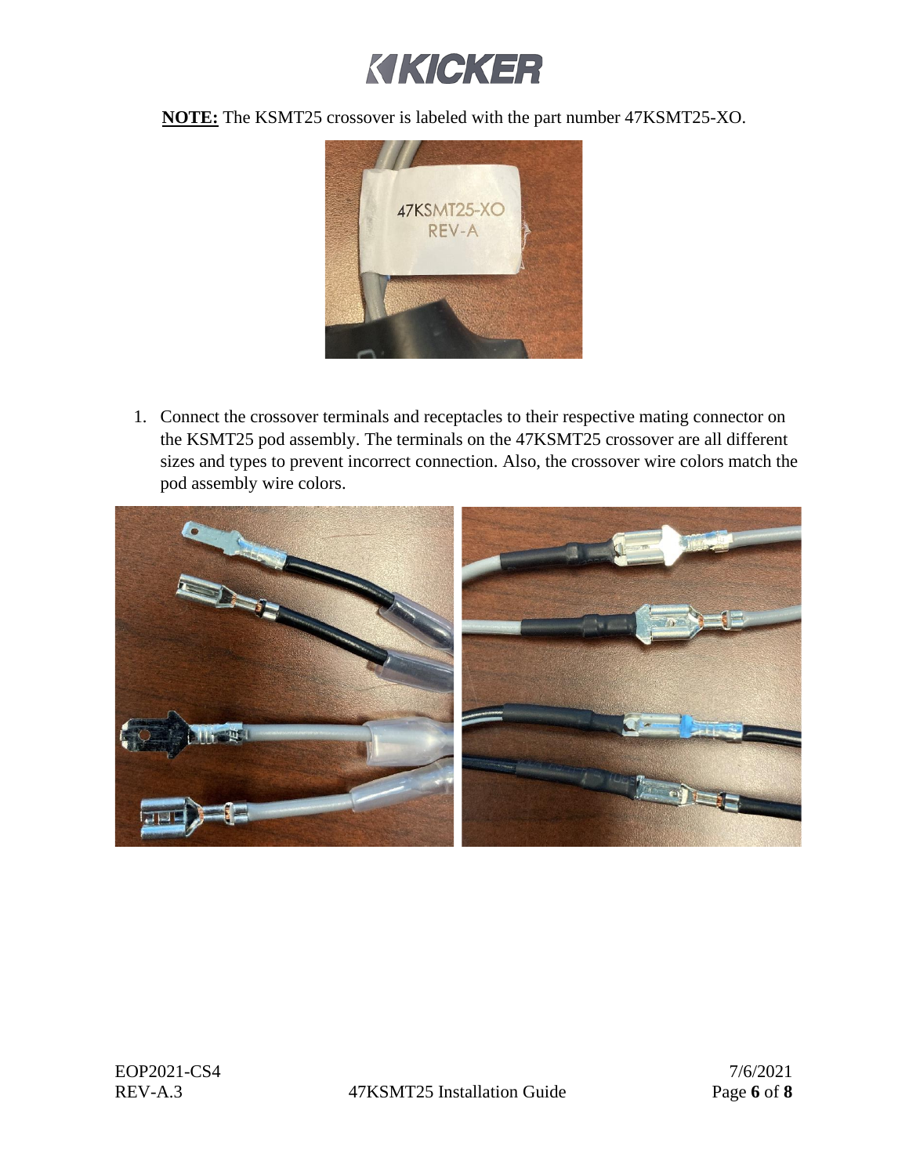

**NOTE:** The KSMT25 crossover is labeled with the part number 47KSMT25-XO.



1. Connect the crossover terminals and receptacles to their respective mating connector on the KSMT25 pod assembly. The terminals on the 47KSMT25 crossover are all different sizes and types to prevent incorrect connection. Also, the crossover wire colors match the pod assembly wire colors.

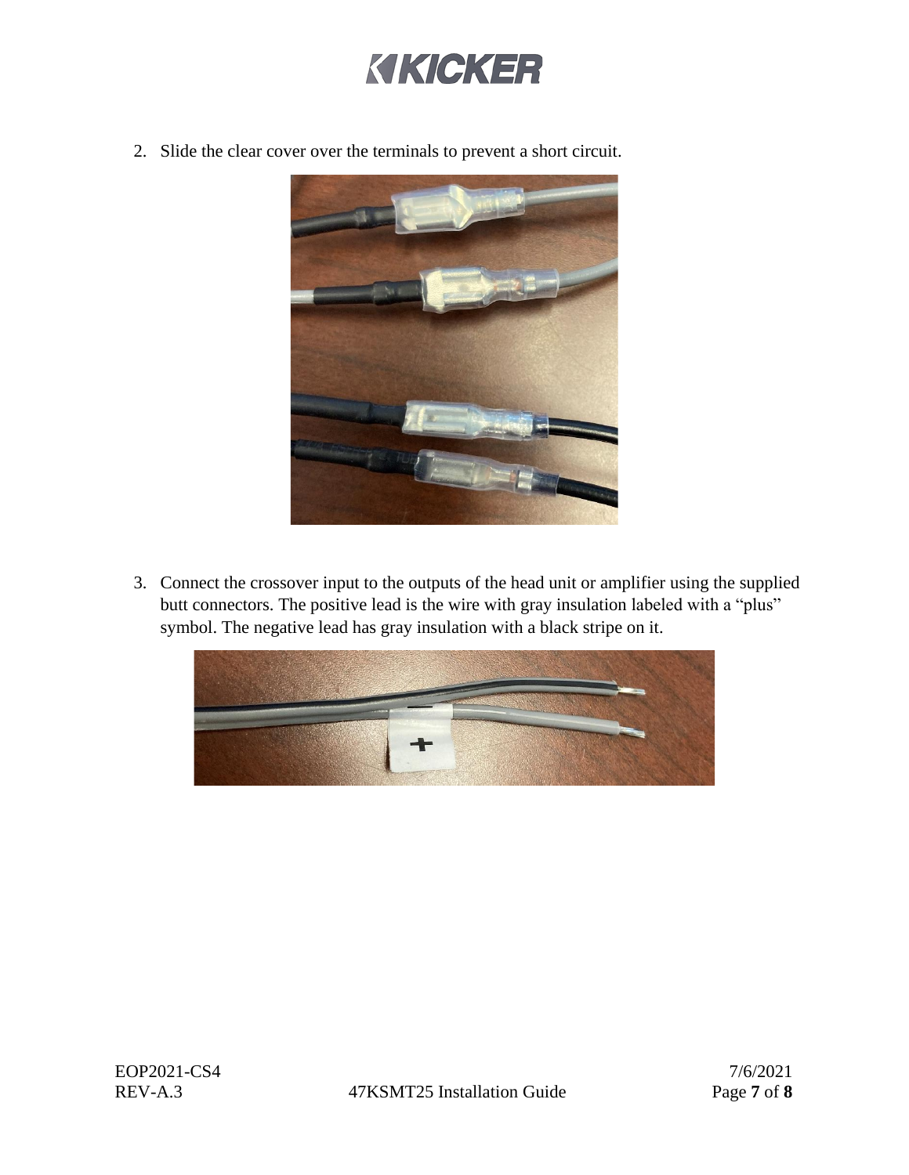

2. Slide the clear cover over the terminals to prevent a short circuit.



3. Connect the crossover input to the outputs of the head unit or amplifier using the supplied butt connectors. The positive lead is the wire with gray insulation labeled with a "plus" symbol. The negative lead has gray insulation with a black stripe on it.